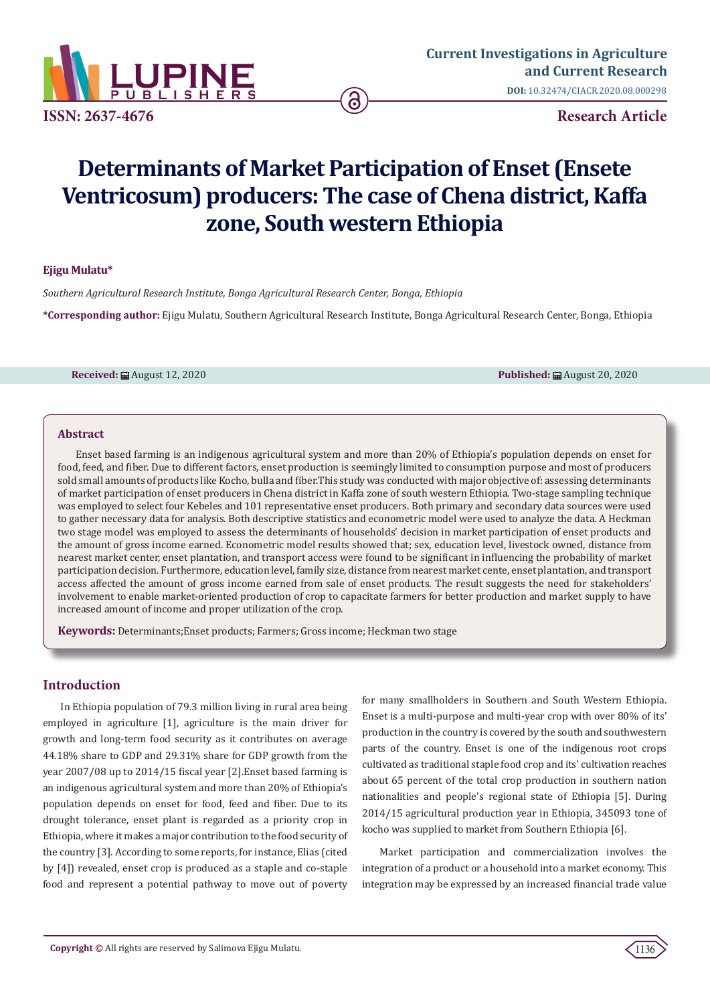

# **Determinants of Market Participation of Enset (Ensete Ventricosum) producers: The case of Chena district, Kaffa zone, South western Ethiopia**

# **Ejigu Mulatu\***

*Southern Agricultural Research Institute, Bonga Agricultural Research Center, Bonga, Ethiopia*

**\*Corresponding author:** Ejigu Mulatu, Southern Agricultural Research Institute, Bonga Agricultural Research Center, Bonga, Ethiopia

**Received:** August 12, 2020 **Published:** August 20, 2020

## **Abstract**

Enset based farming is an indigenous agricultural system and more than 20% of Ethiopia's population depends on enset for food, feed, and fiber. Due to different factors, enset production is seemingly limited to consumption purpose and most of producers sold small amounts of products like Kocho, bulla and fiber.This study was conducted with major objective of: assessing determinants of market participation of enset producers in Chena district in Kaffa zone of south western Ethiopia. Two-stage sampling technique was employed to select four Kebeles and 101 representative enset producers. Both primary and secondary data sources were used to gather necessary data for analysis. Both descriptive statistics and econometric model were used to analyze the data. A Heckman two stage model was employed to assess the determinants of households' decision in market participation of enset products and the amount of gross income earned. Econometric model results showed that; sex, education level, livestock owned, distance from nearest market center, enset plantation, and transport access were found to be significant in influencing the probability of market participation decision. Furthermore, education level, family size, distance from nearest market cente, enset plantation, and transport access affected the amount of gross income earned from sale of enset products. The result suggests the need for stakeholders' involvement to enable market-oriented production of crop to capacitate farmers for better production and market supply to have increased amount of income and proper utilization of the crop.

**Keywords:** Determinants;Enset products; Farmers; Gross income; Heckman two stage

# **Introduction**

In Ethiopia population of 79.3 million living in rural area being employed in agriculture [1], agriculture is the main driver for growth and long-term food security as it contributes on average 44.18% share to GDP and 29.31% share for GDP growth from the year 2007/08 up to 2014/15 fiscal year [2].Enset based farming is an indigenous agricultural system and more than 20% of Ethiopia's population depends on enset for food, feed and fiber. Due to its drought tolerance, enset plant is regarded as a priority crop in Ethiopia, where it makes a major contribution to the food security of the country [3]. According to some reports, for instance, Elias (cited by [4]) revealed, enset crop is produced as a staple and co-staple food and represent a potential pathway to move out of poverty for many smallholders in Southern and South Western Ethiopia. Enset is a multi-purpose and multi-year crop with over 80% of its' production in the country is covered by the south and southwestern parts of the country. Enset is one of the indigenous root crops cultivated as traditional staple food crop and its' cultivation reaches about 65 percent of the total crop production in southern nation nationalities and people's regional state of Ethiopia [5]. During 2014/15 agricultural production year in Ethiopia, 345093 tone of kocho was supplied to market from Southern Ethiopia [6].

Market participation and commercialization involves the integration of a product or a household into a market economy. This integration may be expressed by an increased financial trade value

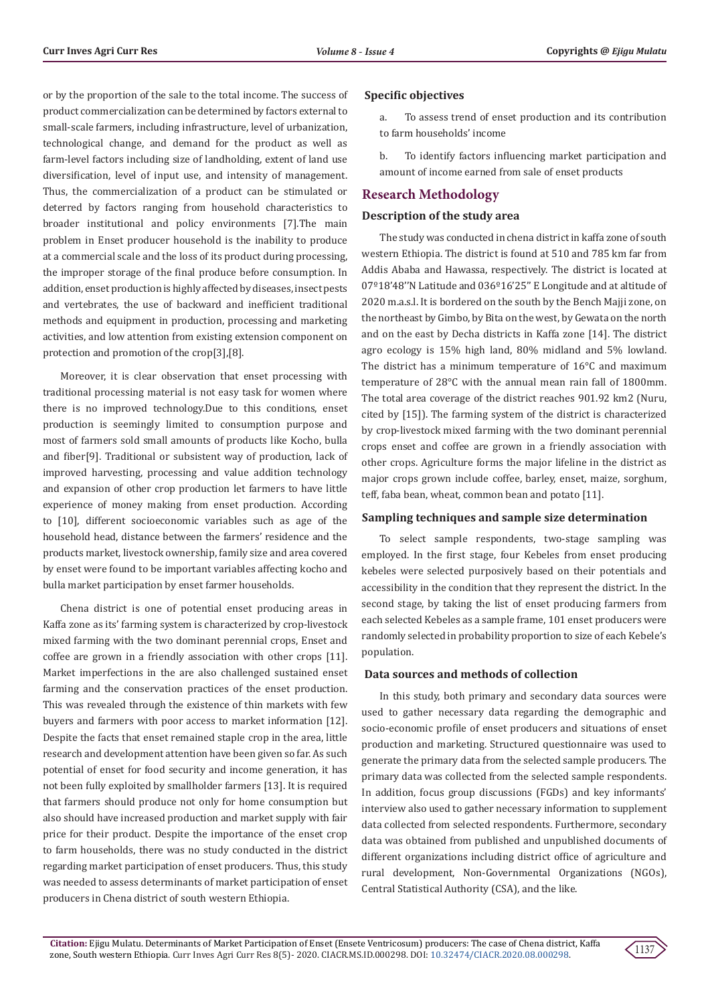or by the proportion of the sale to the total income. The success of product commercialization can be determined by factors external to small-scale farmers, including infrastructure, level of urbanization, technological change, and demand for the product as well as farm-level factors including size of landholding, extent of land use diversification, level of input use, and intensity of management. Thus, the commercialization of a product can be stimulated or deterred by factors ranging from household characteristics to broader institutional and policy environments [7].The main problem in Enset producer household is the inability to produce at a commercial scale and the loss of its product during processing, the improper storage of the final produce before consumption. In addition, enset production is highly affected by diseases, insect pests and vertebrates, the use of backward and inefficient traditional methods and equipment in production, processing and marketing activities, and low attention from existing extension component on protection and promotion of the crop[3],[8].

Moreover, it is clear observation that enset processing with traditional processing material is not easy task for women where there is no improved technology.Due to this conditions, enset production is seemingly limited to consumption purpose and most of farmers sold small amounts of products like Kocho, bulla and fiber[9]. Traditional or subsistent way of production, lack of improved harvesting, processing and value addition technology and expansion of other crop production let farmers to have little experience of money making from enset production. According to [10], different socioeconomic variables such as age of the household head, distance between the farmers' residence and the products market, livestock ownership, family size and area covered by enset were found to be important variables affecting kocho and bulla market participation by enset farmer households.

Chena district is one of potential enset producing areas in Kaffa zone as its' farming system is characterized by crop-livestock mixed farming with the two dominant perennial crops, Enset and coffee are grown in a friendly association with other crops [11]. Market imperfections in the are also challenged sustained enset farming and the conservation practices of the enset production. This was revealed through the existence of thin markets with few buyers and farmers with poor access to market information [12]. Despite the facts that enset remained staple crop in the area, little research and development attention have been given so far. As such potential of enset for food security and income generation, it has not been fully exploited by smallholder farmers [13]. It is required that farmers should produce not only for home consumption but also should have increased production and market supply with fair price for their product. Despite the importance of the enset crop to farm households, there was no study conducted in the district regarding market participation of enset producers. Thus, this study was needed to assess determinants of market participation of enset producers in Chena district of south western Ethiopia.

#### **Specific objectives**

To assess trend of enset production and its contribution to farm households' income

b. To identify factors influencing market participation and amount of income earned from sale of enset products

# **Research Methodology**

# **Description of the study area**

The study was conducted in chena district in kaffa zone of south western Ethiopia. The district is found at 510 and 785 km far from Addis Ababa and Hawassa, respectively. The district is located at 07º18'48''N Latitude and 036º16'25'' E Longitude and at altitude of 2020 m.a.s.l. It is bordered on the south by the Bench Majji zone, on the northeast by Gimbo, by Bita on the west, by Gewata on the north and on the east by Decha districts in Kaffa zone [14]. The district agro ecology is 15% high land, 80% midland and 5% lowland. The district has a minimum temperature of 16°C and maximum temperature of 28°C with the annual mean rain fall of 1800mm. The total area coverage of the district reaches 901.92 km2 (Nuru, cited by [15]). The farming system of the district is characterized by crop-livestock mixed farming with the two dominant perennial crops enset and coffee are grown in a friendly association with other crops. Agriculture forms the major lifeline in the district as major crops grown include coffee, barley, enset, maize, sorghum, teff, faba bean, wheat, common bean and potato [11].

#### **Sampling techniques and sample size determination**

To select sample respondents, two-stage sampling was employed. In the first stage, four Kebeles from enset producing kebeles were selected purposively based on their potentials and accessibility in the condition that they represent the district. In the second stage, by taking the list of enset producing farmers from each selected Kebeles as a sample frame, 101 enset producers were randomly selected in probability proportion to size of each Kebele's population.

# **Data sources and methods of collection**

In this study, both primary and secondary data sources were used to gather necessary data regarding the demographic and socio-economic profile of enset producers and situations of enset production and marketing. Structured questionnaire was used to generate the primary data from the selected sample producers. The primary data was collected from the selected sample respondents. In addition, focus group discussions (FGDs) and key informants' interview also used to gather necessary information to supplement data collected from selected respondents. Furthermore, secondary data was obtained from published and unpublished documents of different organizations including district office of agriculture and rural development, Non-Governmental Organizations (NGOs), Central Statistical Authority (CSA), and the like.

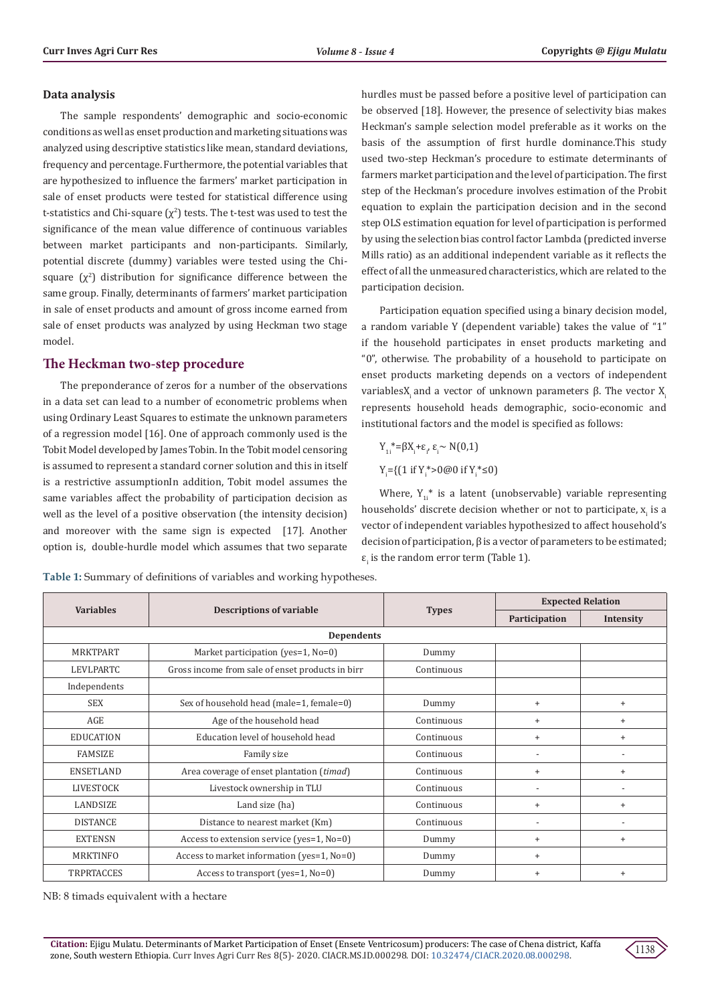#### **Data analysis**

The sample respondents' demographic and socio-economic conditions as well as enset production and marketing situations was analyzed using descriptive statistics like mean, standard deviations, frequency and percentage. Furthermore, the potential variables that are hypothesized to influence the farmers' market participation in sale of enset products were tested for statistical difference using t-statistics and Chi-square  $(\chi^2)$  tests. The t-test was used to test the significance of the mean value difference of continuous variables between market participants and non-participants. Similarly, potential discrete (dummy) variables were tested using the Chisquare  $(\chi^2)$  distribution for significance difference between the same group. Finally, determinants of farmers' market participation in sale of enset products and amount of gross income earned from sale of enset products was analyzed by using Heckman two stage model.

# **The Heckman two-step procedure**

The preponderance of zeros for a number of the observations in a data set can lead to a number of econometric problems when using Ordinary Least Squares to estimate the unknown parameters of a regression model [16]. One of approach commonly used is the Tobit Model developed by James Tobin. In the Tobit model censoring is assumed to represent a standard corner solution and this in itself is a restrictive assumptionIn addition, Tobit model assumes the same variables affect the probability of participation decision as well as the level of a positive observation (the intensity decision) and moreover with the same sign is expected [17]. Another option is, double-hurdle model which assumes that two separate

hurdles must be passed before a positive level of participation can be observed [18]. However, the presence of selectivity bias makes Heckman's sample selection model preferable as it works on the basis of the assumption of first hurdle dominance.This study used two-step Heckman's procedure to estimate determinants of farmers market participation and the level of participation. The first step of the Heckman's procedure involves estimation of the Probit equation to explain the participation decision and in the second step OLS estimation equation for level of participation is performed by using the selection bias control factor Lambda (predicted inverse Mills ratio) as an additional independent variable as it reflects the effect of all the unmeasured characteristics, which are related to the participation decision.

Participation equation specified using a binary decision model, a random variable Y (dependent variable) takes the value of "1" if the household participates in enset products marketing and "0", otherwise. The probability of a household to participate on enset products marketing depends on a vectors of independent variablesX and a vector of unknown parameters β. The vector  $X_i$ represents household heads demographic, socio-economic and institutional factors and the model is specified as follows:

 $Y_{1i}^* = \beta X_i + \varepsilon_i, \varepsilon_i \sim N(0,1)$  $Y_i = \{(1 \text{ if } Y_i^* > 0 \text{ @ } 0 \text{ if } Y_i^* \le 0)\}$ 

Where,  $Y_{1i}^*$  is a latent (unobservable) variable representing households' discrete decision whether or not to participate,  $\mathbf{x_i}$  is a vector of independent variables hypothesized to affect household's decision of participation, β is a vector of parameters to be estimated;  $\varepsilon$ <sub>i</sub> is the random error term (Table 1).

|                   |                                                  |              | <b>Expected Relation</b> |                          |  |
|-------------------|--------------------------------------------------|--------------|--------------------------|--------------------------|--|
| <b>Variables</b>  | <b>Descriptions of variable</b>                  | <b>Types</b> | Participation            | Intensity                |  |
| <b>Dependents</b> |                                                  |              |                          |                          |  |
| <b>MRKTPART</b>   | Market participation (yes=1, No=0)               | Dummy        |                          |                          |  |
| LEVLPARTC         | Gross income from sale of enset products in birr | Continuous   |                          |                          |  |
| Independents      |                                                  |              |                          |                          |  |
| <b>SEX</b>        | Sex of household head (male=1, female=0)         | Dummy        | $+$                      | $+$                      |  |
| AGE               | Age of the household head                        | Continuous   | $\ddot{}$                | $^{+}$                   |  |
| <b>EDUCATION</b>  | Education level of household head                | Continuous   | $+$                      | $+$                      |  |
| <b>FAMSIZE</b>    | Family size                                      | Continuous   | $\overline{\phantom{a}}$ |                          |  |
| ENSETLAND         | Area coverage of enset plantation (timad)        | Continuous   | $+$                      | $+$                      |  |
| LIVESTOCK         | Livestock ownership in TLU                       | Continuous   | $\overline{\phantom{a}}$ | $\overline{\phantom{a}}$ |  |
| LANDSIZE          | Land size (ha)                                   | Continuous   | $\ddot{}$                | $^{+}$                   |  |
| <b>DISTANCE</b>   | Distance to nearest market (Km)                  | Continuous   | $\overline{\phantom{a}}$ |                          |  |
| <b>EXTENSN</b>    | Access to extension service (yes=1, No=0)        | Dummy        | $+$                      | $+$                      |  |
| MRKTINFO          | Access to market information (yes=1, No=0)       | Dummy        | $\ddot{}$                |                          |  |
| <b>TRPRTACCES</b> | Access to transport (yes=1, No=0)                | Dummy        | $\ddot{}$                | $\ddot{}$                |  |

**Table 1:** Summary of definitions of variables and working hypotheses.

NB: 8 timads equivalent with a hectare

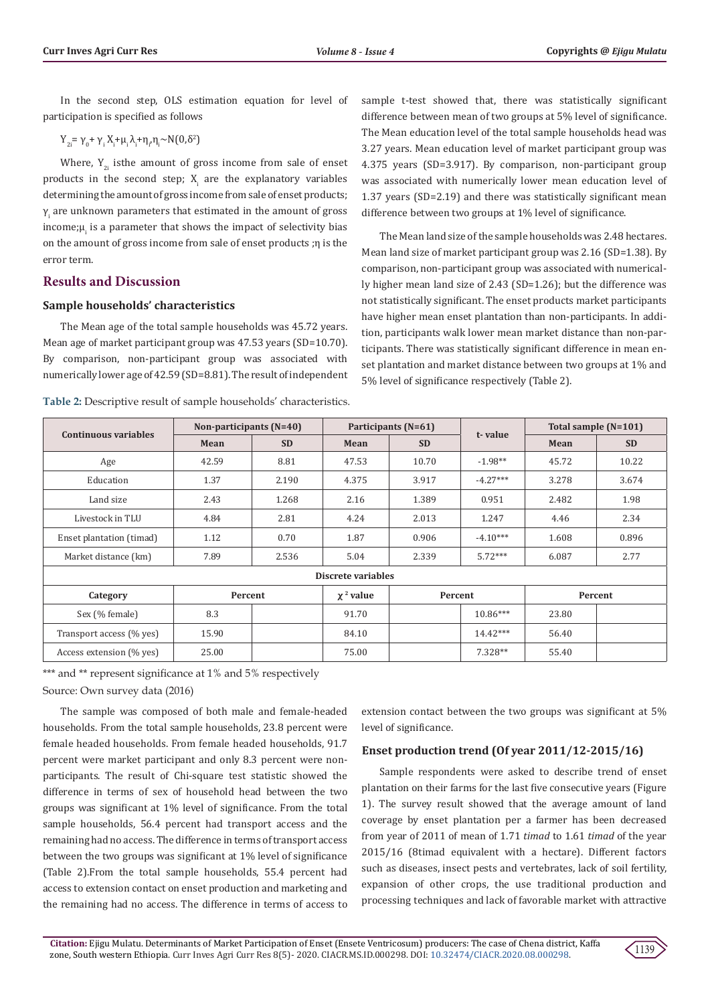In the second step, OLS estimation equation for level of participation is specified as follows

# $Y_{2i} = \gamma_0 + \gamma_i X_i + \mu_i \lambda_i + \eta_i \eta_i \sim N(0, \delta^2)$

Where,  $Y_{2i}$  isthe amount of gross income from sale of enset products in the second step;  $X_i$  are the explanatory variables determining the amount of gross income from sale of enset products;  $\gamma_{\rm i}$  are unknown parameters that estimated in the amount of gross  $incomp; \mu_i$  is a parameter that shows the impact of selectivity bias on the amount of gross income from sale of enset products ;η is the error term.

# **Results and Discussion**

## **Sample households' characteristics**

The Mean age of the total sample households was 45.72 years. Mean age of market participant group was 47.53 years (SD=10.70). By comparison, non-participant group was associated with numerically lower age of 42.59 (SD=8.81). The result of independent

**Table 2:** Descriptive result of sample households' characteristics.

sample t-test showed that, there was statistically significant difference between mean of two groups at 5% level of significance. The Mean education level of the total sample households head was 3.27 years. Mean education level of market participant group was 4.375 years (SD=3.917). By comparison, non-participant group was associated with numerically lower mean education level of 1.37 years (SD=2.19) and there was statistically significant mean difference between two groups at 1% level of significance.

The Mean land size of the sample households was 2.48 hectares. Mean land size of market participant group was 2.16 (SD=1.38). By comparison, non-participant group was associated with numerically higher mean land size of 2.43 (SD=1.26); but the difference was not statistically significant. The enset products market participants have higher mean enset plantation than non-participants. In addition, participants walk lower mean market distance than non-participants. There was statistically significant difference in mean enset plantation and market distance between two groups at 1% and 5% level of significance respectively (Table 2).

|                          | Non-participants $(N=40)$ |           | Participants (N=61) |           |            | Total sample (N=101) |           |
|--------------------------|---------------------------|-----------|---------------------|-----------|------------|----------------------|-----------|
| Continuous variables     | Mean                      | <b>SD</b> | Mean                | <b>SD</b> | t-value    | Mean                 | <b>SD</b> |
| Age                      | 42.59                     | 8.81      | 47.53               | 10.70     | $-1.98**$  | 45.72                | 10.22     |
| Education                | 1.37                      | 2.190     | 4.375               | 3.917     | $-4.27***$ | 3.278                | 3.674     |
| Land size                | 2.43                      | 1.268     | 2.16                | 1.389     | 0.951      | 2.482                | 1.98      |
| Livestock in TLU         | 4.84                      | 2.81      | 4.24                | 2.013     | 1.247      | 4.46                 | 2.34      |
| Enset plantation (timad) | 1.12                      | 0.70      | 1.87                | 0.906     | $-4.10***$ | 1.608                | 0.896     |
| Market distance (km)     | 7.89                      | 2.536     | 5.04                | 2.339     | $5.72***$  | 6.087                | 2.77      |
| Discrete variables       |                           |           |                     |           |            |                      |           |
| Category                 | Percent                   |           | $\chi^2$ value      | Percent   |            | Percent              |           |
| Sex (% female)           | 8.3                       |           | 91.70               |           | $10.86***$ | 23.80                |           |
| Transport access (% yes) | 15.90                     |           | 84.10               |           | $14.42***$ | 56.40                |           |
| Access extension (% yes) | 25.00                     |           | 75.00               |           | $7.328**$  | 55.40                |           |

\*\*\* and \*\* represent significance at 1% and 5% respectively

Source: Own survey data (2016)

The sample was composed of both male and female-headed households. From the total sample households, 23.8 percent were female headed households. From female headed households, 91.7 percent were market participant and only 8.3 percent were nonparticipants. The result of Chi-square test statistic showed the difference in terms of sex of household head between the two groups was significant at 1% level of significance. From the total sample households, 56.4 percent had transport access and the remaining had no access. The difference in terms of transport access between the two groups was significant at 1% level of significance (Table 2).From the total sample households, 55.4 percent had access to extension contact on enset production and marketing and the remaining had no access. The difference in terms of access to

extension contact between the two groups was significant at 5% level of significance.

# **Enset production trend (Of year 2011/12-2015/16)**

Sample respondents were asked to describe trend of enset plantation on their farms for the last five consecutive years (Figure 1). The survey result showed that the average amount of land coverage by enset plantation per a farmer has been decreased from year of 2011 of mean of 1.71 *timad* to 1.61 *timad* of the year 2015/16 (8timad equivalent with a hectare). Different factors such as diseases, insect pests and vertebrates, lack of soil fertility, expansion of other crops, the use traditional production and processing techniques and lack of favorable market with attractive

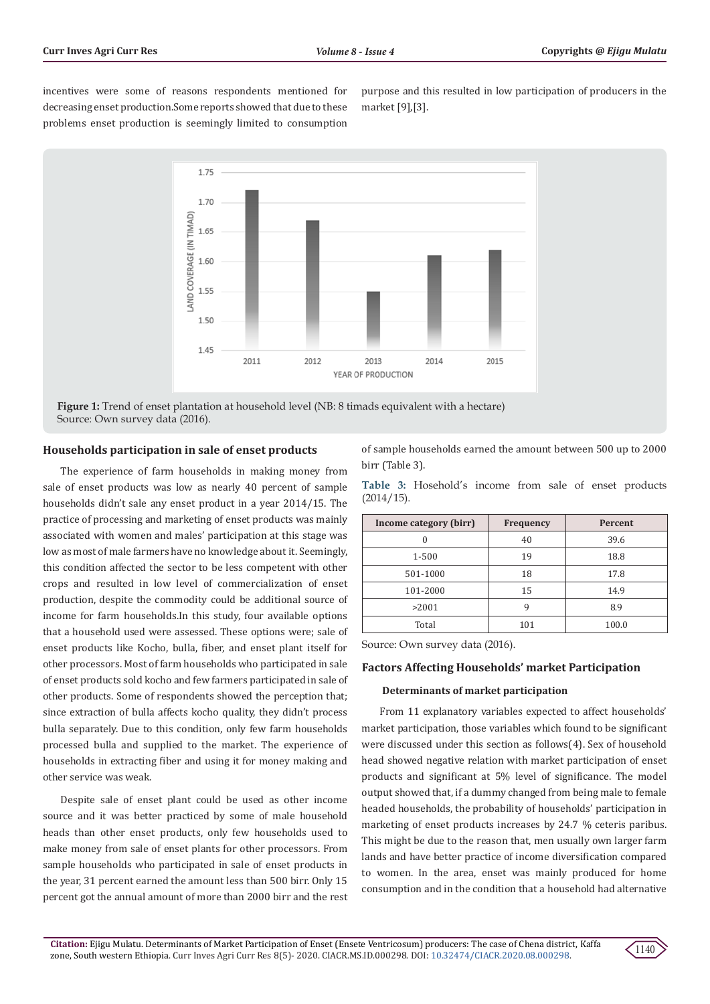incentives were some of reasons respondents mentioned for decreasing enset production.Some reports showed that due to these problems enset production is seemingly limited to consumption

purpose and this resulted in low participation of producers in the market [9],[3].



**Figure 1:** Trend of enset plantation at household level (NB: 8 timads equivalent with a hectare) Source: Own survey data (2016).

## **Households participation in sale of enset products**

The experience of farm households in making money from sale of enset products was low as nearly 40 percent of sample households didn't sale any enset product in a year 2014/15. The practice of processing and marketing of enset products was mainly associated with women and males' participation at this stage was low as most of male farmers have no knowledge about it. Seemingly, this condition affected the sector to be less competent with other crops and resulted in low level of commercialization of enset production, despite the commodity could be additional source of income for farm households.In this study, four available options that a household used were assessed. These options were; sale of enset products like Kocho, bulla, fiber, and enset plant itself for other processors. Most of farm households who participated in sale of enset products sold kocho and few farmers participated in sale of other products. Some of respondents showed the perception that; since extraction of bulla affects kocho quality, they didn't process bulla separately. Due to this condition, only few farm households processed bulla and supplied to the market. The experience of households in extracting fiber and using it for money making and other service was weak.

Despite sale of enset plant could be used as other income source and it was better practiced by some of male household heads than other enset products, only few households used to make money from sale of enset plants for other processors. From sample households who participated in sale of enset products in the year, 31 percent earned the amount less than 500 birr. Only 15 percent got the annual amount of more than 2000 birr and the rest

of sample households earned the amount between 500 up to 2000 birr (Table 3).

**Table 3:** Hosehold's income from sale of enset products

| Income category (birr) | <b>Frequency</b> | Percent |
|------------------------|------------------|---------|
|                        | 40               | 39.6    |
| 1-500                  | 19               | 18.8    |

501-1000 18 17.8 101-2000 15 14.9  $>2001$  9 8.9

| Total                           | 100.0 |
|---------------------------------|-------|
| Source: Own survey data (2016). |       |

#### **Factors Affecting Households' market Participation**

#### **Determinants of market participation**

From 11 explanatory variables expected to affect households' market participation, those variables which found to be significant were discussed under this section as follows(4). Sex of household head showed negative relation with market participation of enset products and significant at 5% level of significance. The model output showed that, if a dummy changed from being male to female headed households, the probability of households' participation in marketing of enset products increases by 24.7 % ceteris paribus. This might be due to the reason that, men usually own larger farm lands and have better practice of income diversification compared to women. In the area, enset was mainly produced for home consumption and in the condition that a household had alternative

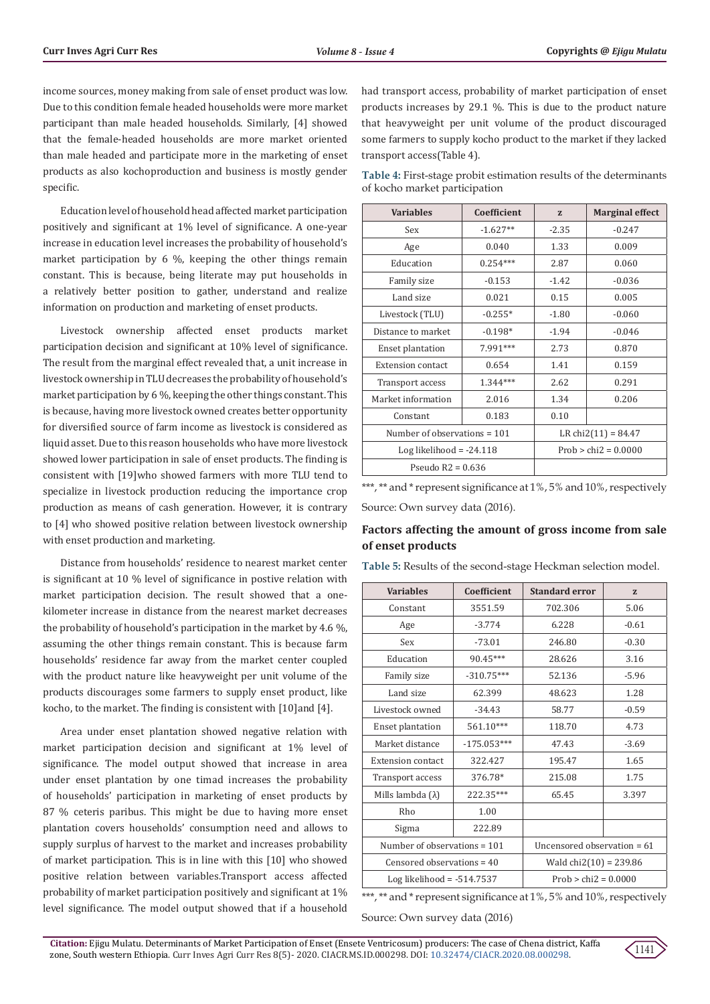income sources, money making from sale of enset product was low. Due to this condition female headed households were more market participant than male headed households. Similarly, [4] showed that the female-headed households are more market oriented than male headed and participate more in the marketing of enset products as also kochoproduction and business is mostly gender specific.

Education level of household head affected market participation positively and significant at 1% level of significance. A one-year increase in education level increases the probability of household's market participation by 6 %, keeping the other things remain constant. This is because, being literate may put households in a relatively better position to gather, understand and realize information on production and marketing of enset products.

Livestock ownership affected enset products market participation decision and significant at 10% level of significance. The result from the marginal effect revealed that, a unit increase in livestock ownership in TLU decreases the probability of household's market participation by 6 %, keeping the other things constant. This is because, having more livestock owned creates better opportunity for diversified source of farm income as livestock is considered as liquid asset. Due to this reason households who have more livestock showed lower participation in sale of enset products. The finding is consistent with [19]who showed farmers with more TLU tend to specialize in livestock production reducing the importance crop production as means of cash generation. However, it is contrary to [4] who showed positive relation between livestock ownership with enset production and marketing.

Distance from households' residence to nearest market center is significant at 10 % level of significance in postive relation with market participation decision. The result showed that a onekilometer increase in distance from the nearest market decreases the probability of household's participation in the market by 4.6 %, assuming the other things remain constant. This is because farm households' residence far away from the market center coupled with the product nature like heavyweight per unit volume of the products discourages some farmers to supply enset product, like kocho, to the market. The finding is consistent with [10]and [4].

Area under enset plantation showed negative relation with market participation decision and significant at 1% level of significance. The model output showed that increase in area under enset plantation by one timad increases the probability of households' participation in marketing of enset products by 87 % ceteris paribus. This might be due to having more enset plantation covers households' consumption need and allows to supply surplus of harvest to the market and increases probability of market participation. This is in line with this [10] who showed positive relation between variables.Transport access affected probability of market participation positively and significant at 1% level significance. The model output showed that if a household had transport access, probability of market participation of enset products increases by 29.1 %. This is due to the product nature that heavyweight per unit volume of the product discouraged some farmers to supply kocho product to the market if they lacked transport access(Table 4).

**Table 4:** First-stage probit estimation results of the determinants of kocho market participation

| <b>Variables</b>               | Coefficient | Z                      | <b>Marginal effect</b> |
|--------------------------------|-------------|------------------------|------------------------|
| Sex                            | $-1.627**$  | $-2.35$                | $-0.247$               |
| Age                            | 0.040       | 1.33                   | 0.009                  |
| Education                      | $0.254***$  | 2.87                   | 0.060                  |
| Family size                    | $-0.153$    | $-1.42$                | $-0.036$               |
| Land size                      | 0.021       | 0.15                   | 0.005                  |
| Livestock (TLU)                | $-0.255*$   | $-1.80$                | $-0.060$               |
| Distance to market             | $-0.198*$   | $-1.94$                | $-0.046$               |
| Enset plantation               | 7.991 ***   | 2.73                   | 0.870                  |
| <b>Extension contact</b>       | 0.654       | 1.41                   | 0.159                  |
| Transport access               | $1.344***$  | 2.62                   | 0.291                  |
| Market information             | 2.016       | 1.34                   | 0.206                  |
| Constant                       | 0.183       | 0.10                   |                        |
| Number of observations = $101$ |             | LR chi2 $(11) = 84.47$ |                        |
| Log likelihood = $-24.118$     |             |                        | $Prob > chi2 = 0.0000$ |
| Pseudo $R2 = 0.636$            |             |                        |                        |

\*\*\*, \*\* and \* represent significance at 1%, 5% and 10%, respectively Source: Own survey data (2016).

# **Factors affecting the amount of gross income from sale of enset products**

| Table 5: Results of the second-stage Heckman selection model. |  |  |  |
|---------------------------------------------------------------|--|--|--|
|---------------------------------------------------------------|--|--|--|

| <b>Variables</b>               | Coefficient   | <b>Standard error</b>         | Z       |  |
|--------------------------------|---------------|-------------------------------|---------|--|
| Constant                       | 3551.59       | 702.306                       | 5.06    |  |
| Age                            | $-3.774$      | 6.228                         | $-0.61$ |  |
| Sex                            | $-73.01$      | 246.80                        | $-0.30$ |  |
| Education                      | 90.45***      | 28.626                        | 3.16    |  |
| Family size                    | $-310.75***$  | 52.136                        | $-5.96$ |  |
| Land size                      | 62.399        | 48.623                        | 1.28    |  |
| Livestock owned                | $-34.43$      | 58.77                         | $-0.59$ |  |
| <b>Enset plantation</b>        | 561.10***     | 118.70                        | 4.73    |  |
| Market distance                | $-175.053***$ | 47.43                         | $-3.69$ |  |
| <b>Extension contact</b>       | 322.427       | 195.47                        | 1.65    |  |
| <b>Transport access</b>        | 376.78*       | 215.08                        | 1.75    |  |
| Mills lambda $(\lambda)$       | 222.35***     | 65.45                         | 3.397   |  |
| Rho                            | 1.00          |                               |         |  |
| Sigma                          | 222.89        |                               |         |  |
| Number of observations $= 101$ |               | Uncensored observation = $61$ |         |  |
| Censored observations = $40$   |               | Wald $chi2(10) = 239.86$      |         |  |
| Log likelihood = $-514.7537$   |               | $Prob > chi2 = 0.0000$        |         |  |

\*\*\*, \*\* and \* represent significance at 1%, 5% and 10%, respectively

Source: Own survey data (2016)

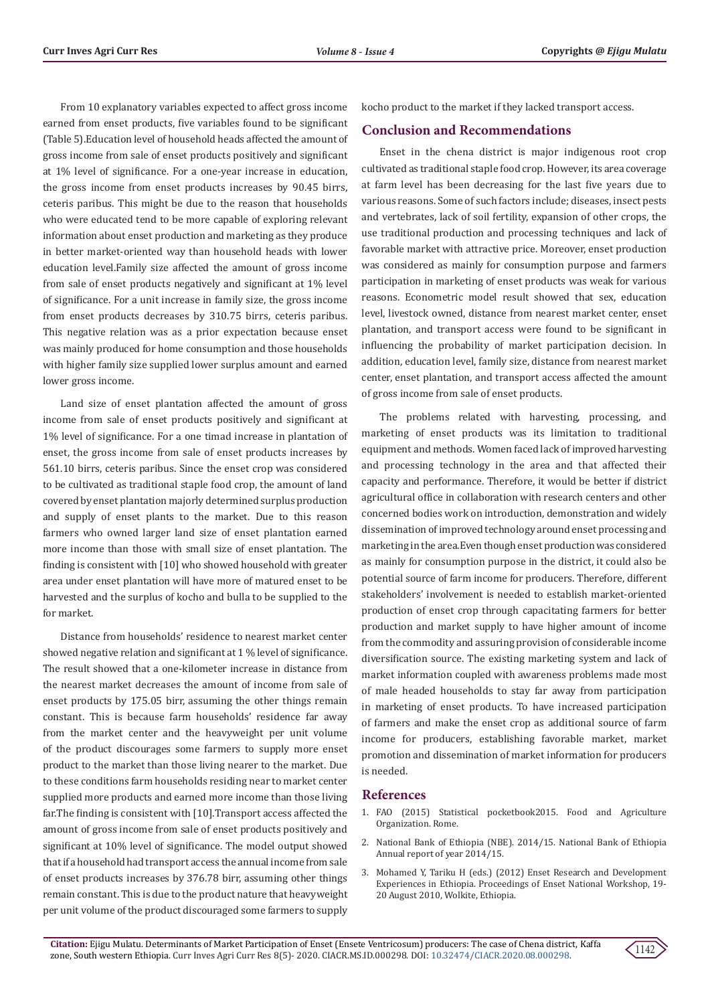From 10 explanatory variables expected to affect gross income earned from enset products, five variables found to be significant (Table 5).Education level of household heads affected the amount of gross income from sale of enset products positively and significant at 1% level of significance. For a one-year increase in education, the gross income from enset products increases by 90.45 birrs, ceteris paribus. This might be due to the reason that households who were educated tend to be more capable of exploring relevant information about enset production and marketing as they produce in better market-oriented way than household heads with lower education level.Family size affected the amount of gross income from sale of enset products negatively and significant at 1% level of significance. For a unit increase in family size, the gross income from enset products decreases by 310.75 birrs, ceteris paribus. This negative relation was as a prior expectation because enset was mainly produced for home consumption and those households with higher family size supplied lower surplus amount and earned lower gross income.

Land size of enset plantation affected the amount of gross income from sale of enset products positively and significant at 1% level of significance. For a one timad increase in plantation of enset, the gross income from sale of enset products increases by 561.10 birrs, ceteris paribus. Since the enset crop was considered to be cultivated as traditional staple food crop, the amount of land covered by enset plantation majorly determined surplus production and supply of enset plants to the market. Due to this reason farmers who owned larger land size of enset plantation earned more income than those with small size of enset plantation. The finding is consistent with [10] who showed household with greater area under enset plantation will have more of matured enset to be harvested and the surplus of kocho and bulla to be supplied to the for market.

Distance from households' residence to nearest market center showed negative relation and significant at 1 % level of significance. The result showed that a one-kilometer increase in distance from the nearest market decreases the amount of income from sale of enset products by 175.05 birr, assuming the other things remain constant. This is because farm households' residence far away from the market center and the heavyweight per unit volume of the product discourages some farmers to supply more enset product to the market than those living nearer to the market. Due to these conditions farm households residing near to market center supplied more products and earned more income than those living far.The finding is consistent with [10].Transport access affected the amount of gross income from sale of enset products positively and significant at 10% level of significance. The model output showed that if a household had transport access the annual income from sale of enset products increases by 376.78 birr, assuming other things remain constant. This is due to the product nature that heavyweight per unit volume of the product discouraged some farmers to supply

kocho product to the market if they lacked transport access.

## **Conclusion and Recommendations**

Enset in the chena district is major indigenous root crop cultivated as traditional staple food crop. However, its area coverage at farm level has been decreasing for the last five years due to various reasons. Some of such factors include; diseases, insect pests and vertebrates, lack of soil fertility, expansion of other crops, the use traditional production and processing techniques and lack of favorable market with attractive price. Moreover, enset production was considered as mainly for consumption purpose and farmers participation in marketing of enset products was weak for various reasons. Econometric model result showed that sex, education level, livestock owned, distance from nearest market center, enset plantation, and transport access were found to be significant in influencing the probability of market participation decision. In addition, education level, family size, distance from nearest market center, enset plantation, and transport access affected the amount of gross income from sale of enset products.

The problems related with harvesting, processing, and marketing of enset products was its limitation to traditional equipment and methods. Women faced lack of improved harvesting and processing technology in the area and that affected their capacity and performance. Therefore, it would be better if district agricultural office in collaboration with research centers and other concerned bodies work on introduction, demonstration and widely dissemination of improved technology around enset processing and marketing in the area.Even though enset production was considered as mainly for consumption purpose in the district, it could also be potential source of farm income for producers. Therefore, different stakeholders' involvement is needed to establish market-oriented production of enset crop through capacitating farmers for better production and market supply to have higher amount of income from the commodity and assuring provision of considerable income diversification source. The existing marketing system and lack of market information coupled with awareness problems made most of male headed households to stay far away from participation in marketing of enset products. To have increased participation of farmers and make the enset crop as additional source of farm income for producers, establishing favorable market, market promotion and dissemination of market information for producers is needed.

## **References**

- 1. FAO (2015) Statistical pocketbook2015. Food and Agriculture Organization. Rome.
- 2. National Bank of Ethiopia (NBE). 2014/15. National Bank of Ethiopia Annual report of year 2014/15.
- 3. Mohamed Y, Tariku H (eds.) (2012) Enset Research and Development Experiences in Ethiopia. Proceedings of Enset National Workshop, 19- 20 August 2010, Wolkite, Ethiopia.